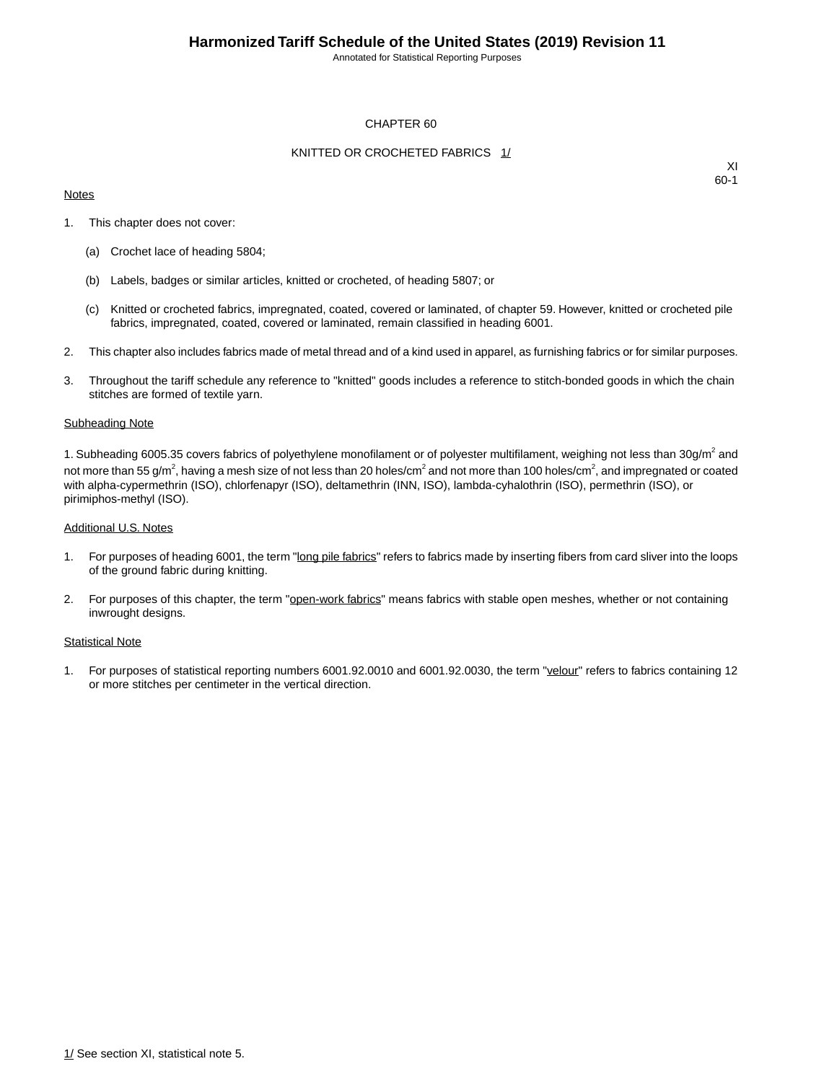Annotated for Statistical Reporting Purposes

### CHAPTER 60

### KNITTED OR CROCHETED FABRICS 1/

#### **Notes**

XI 60-1

- 1. This chapter does not cover:
	- (a) Crochet lace of heading 5804;
	- (b) Labels, badges or similar articles, knitted or crocheted, of heading 5807; or
	- (c) Knitted or crocheted fabrics, impregnated, coated, covered or laminated, of chapter 59. However, knitted or crocheted pile fabrics, impregnated, coated, covered or laminated, remain classified in heading 6001.
- 2. This chapter also includes fabrics made of metal thread and of a kind used in apparel, as furnishing fabrics or for similar purposes.
- 3. Throughout the tariff schedule any reference to "knitted" goods includes a reference to stitch-bonded goods in which the chain stitches are formed of textile yarn.

#### Subheading Note

1. Subheading 6005.35 covers fabrics of polyethylene monofilament or of polyester multifilament, weighing not less than 30g/m<sup>2</sup> and not more than 55 g/m $^2$ , having a mesh size of not less than 20 holes/cm $^2$  and not more than 100 holes/cm $^2$ , and impregnated or coated with alpha-cypermethrin (ISO), chlorfenapyr (ISO), deltamethrin (INN, ISO), lambda-cyhalothrin (ISO), permethrin (ISO), or pirimiphos-methyl (ISO).

#### Additional U.S. Notes

- 1. For purposes of heading 6001, the term "long pile fabrics" refers to fabrics made by inserting fibers from card sliver into the loops of the ground fabric during knitting.
- 2. For purposes of this chapter, the term "open-work fabrics" means fabrics with stable open meshes, whether or not containing inwrought designs.

#### Statistical Note

1. For purposes of statistical reporting numbers 6001.92.0010 and 6001.92.0030, the term "velour" refers to fabrics containing 12 or more stitches per centimeter in the vertical direction.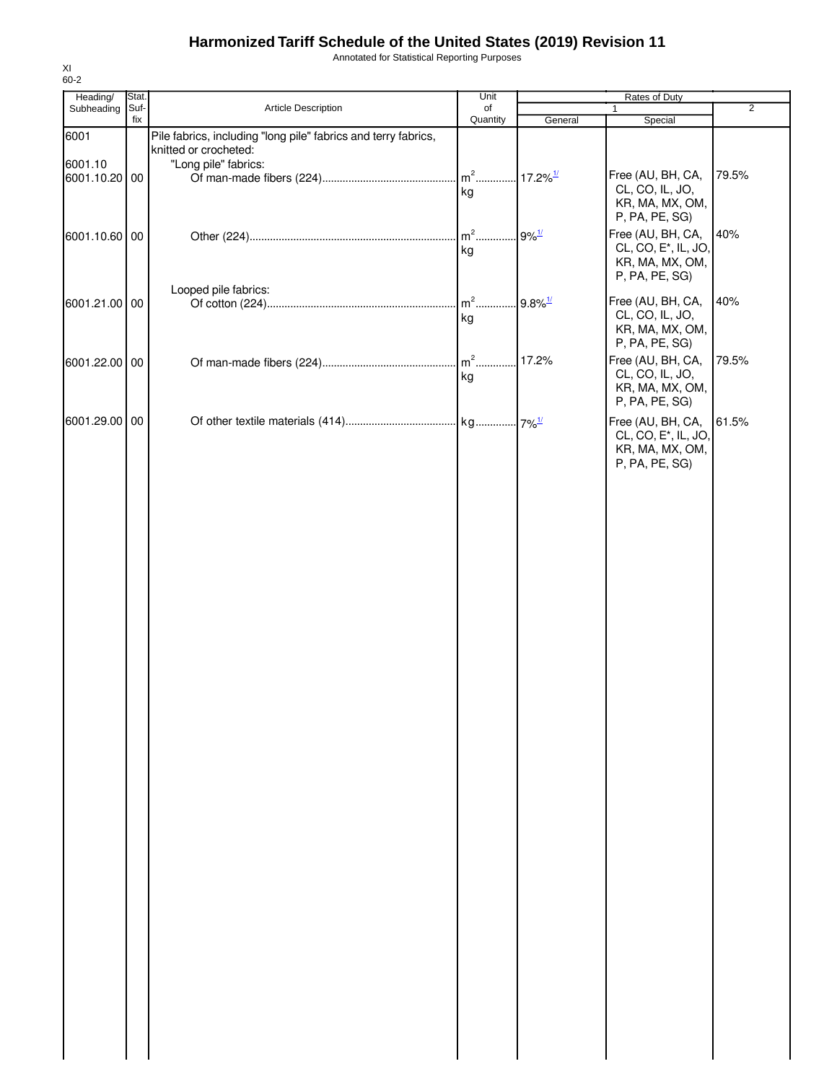Annotated for Statistical Reporting Purposes

| Heading/                 | Stat. |                                                                                         | Unit         |                        | Rates of Duty                                                                              |                |
|--------------------------|-------|-----------------------------------------------------------------------------------------|--------------|------------------------|--------------------------------------------------------------------------------------------|----------------|
| Subheading               | Suf-  | Article Description                                                                     | of           |                        | $\mathbf{1}$                                                                               | $\overline{2}$ |
|                          | fix   |                                                                                         | Quantity     | General                | Special                                                                                    |                |
| 6001                     |       | Pile fabrics, including "long pile" fabrics and terry fabrics,<br>knitted or crocheted: |              |                        |                                                                                            |                |
| 6001.10<br>6001.10.20 00 |       | "Long pile" fabrics:                                                                    | $m2$ .       | $17.2\%$ <sup>1/</sup> | Free (AU, BH, CA,                                                                          | 79.5%          |
|                          |       |                                                                                         | kg           |                        | CL, CO, IL, JO,<br>KR, MA, MX, OM,<br>P, PA, PE, SG)                                       |                |
| 6001.10.60 00            |       |                                                                                         | $m2$ .<br>kg | $9\%$ <sup>1/</sup>    | Free (AU, BH, CA,<br>CL, CO, E <sup>*</sup> , IL, JO,<br>KR, MA, MX, OM,<br>P, PA, PE, SG) | 40%            |
| 6001.21.00 00            |       | Looped pile fabrics:                                                                    | $m2$         | $9.8\%$ <sup>1/</sup>  | Free (AU, BH, CA,                                                                          | 40%            |
|                          |       |                                                                                         | kg           |                        | CL, CO, IL, JO,<br>KR, MA, MX, OM,<br>P, PA, PE, SG)                                       |                |
| 6001.22.00 00            |       |                                                                                         | $m2$         | 17.2%                  | Free (AU, BH, CA,                                                                          | 79.5%          |
|                          |       |                                                                                         | kg           |                        | CL, CO, IL, JO,<br>KR, MA, MX, OM,<br>P, PA, PE, SG)                                       |                |
| 6001.29.00 00            |       |                                                                                         |              |                        | Free (AU, BH, CA,<br>CL, CO, E <sup>*</sup> , IL, JO,<br>KR, MA, MX, OM,<br>P, PA, PE, SG) | 61.5%          |
|                          |       |                                                                                         |              |                        |                                                                                            |                |
|                          |       |                                                                                         |              |                        |                                                                                            |                |
|                          |       |                                                                                         |              |                        |                                                                                            |                |
|                          |       |                                                                                         |              |                        |                                                                                            |                |
|                          |       |                                                                                         |              |                        |                                                                                            |                |
|                          |       |                                                                                         |              |                        |                                                                                            |                |
|                          |       |                                                                                         |              |                        |                                                                                            |                |
|                          |       |                                                                                         |              |                        |                                                                                            |                |
|                          |       |                                                                                         |              |                        |                                                                                            |                |
|                          |       |                                                                                         |              |                        |                                                                                            |                |
|                          |       |                                                                                         |              |                        |                                                                                            |                |
|                          |       |                                                                                         |              |                        |                                                                                            |                |
|                          |       |                                                                                         |              |                        |                                                                                            |                |
|                          |       |                                                                                         |              |                        |                                                                                            |                |
|                          |       |                                                                                         |              |                        |                                                                                            |                |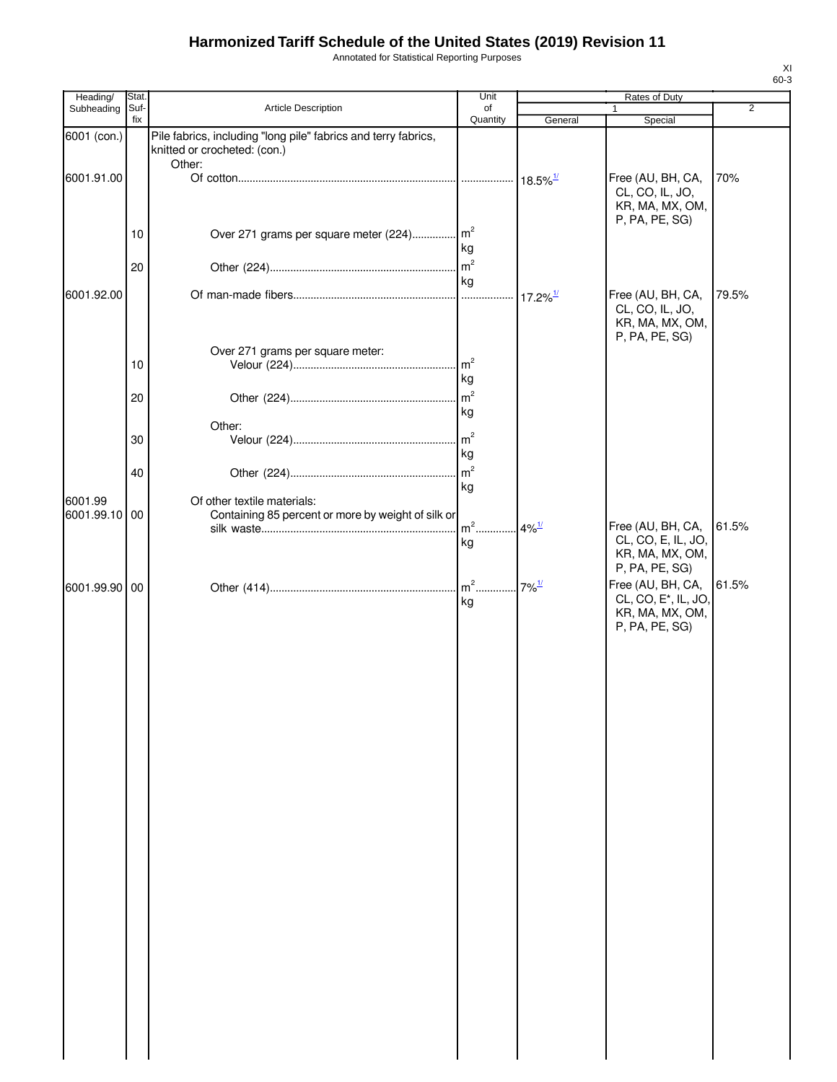Annotated for Statistical Reporting Purposes

| Heading/                 | Stat        |                                                                                                          | Unit                 |                        | Rates of Duty                                                                              |                |
|--------------------------|-------------|----------------------------------------------------------------------------------------------------------|----------------------|------------------------|--------------------------------------------------------------------------------------------|----------------|
| Subheading               | Suf-<br>fix | <b>Article Description</b>                                                                               | of<br>Quantity       | General                | Special                                                                                    | $\overline{2}$ |
| 6001 (con.)              |             | Pile fabrics, including "long pile" fabrics and terry fabrics,<br>knitted or crocheted: (con.)<br>Other: |                      |                        |                                                                                            |                |
| 6001.91.00               |             |                                                                                                          |                      | $18.5\%$ <sup>1/</sup> | Free (AU, BH, CA,<br>CL, CO, IL, JO,<br>KR, MA, MX, OM,<br>P, PA, PE, SG)                  | 70%            |
|                          | 10          | Over 271 grams per square meter (224) m <sup>2</sup>                                                     | kg                   |                        |                                                                                            |                |
|                          | 20          |                                                                                                          | kg                   |                        |                                                                                            |                |
| 6001.92.00               |             |                                                                                                          |                      | $17.2\%$ <sup>1/</sup> | Free (AU, BH, CA,<br>CL, CO, IL, JO,<br>KR, MA, MX, OM,<br>P, PA, PE, SG)                  | 79.5%          |
|                          | 10          | Over 271 grams per square meter:                                                                         | kg                   |                        |                                                                                            |                |
|                          | 20          |                                                                                                          | kg                   |                        |                                                                                            |                |
|                          | 30          | Other:                                                                                                   |                      |                        |                                                                                            |                |
|                          | 40          |                                                                                                          | kg<br>m <sup>2</sup> |                        |                                                                                            |                |
| 6001.99<br>6001.99.10 00 |             | Of other textile materials:<br>Containing 85 percent or more by weight of silk or                        | kg<br>$m2$           | $4\%$ <sup>1/</sup>    | Free (AU, BH, CA,                                                                          | 61.5%          |
|                          |             |                                                                                                          | kg                   |                        | CL, CO, E, IL, JO,<br>KR, MA, MX, OM,<br>P, PA, PE, SG)                                    |                |
| 6001.99.90 00            |             |                                                                                                          | kg                   |                        | Free (AU, BH, CA,<br>CL, CO, E <sup>*</sup> , IL, JO,<br>KR, MA, MX, OM,<br>P, PA, PE, SG) | 61.5%          |
|                          |             |                                                                                                          |                      |                        |                                                                                            |                |
|                          |             |                                                                                                          |                      |                        |                                                                                            |                |
|                          |             |                                                                                                          |                      |                        |                                                                                            |                |
|                          |             |                                                                                                          |                      |                        |                                                                                            |                |
|                          |             |                                                                                                          |                      |                        |                                                                                            |                |
|                          |             |                                                                                                          |                      |                        |                                                                                            |                |
|                          |             |                                                                                                          |                      |                        |                                                                                            |                |
|                          |             |                                                                                                          |                      |                        |                                                                                            |                |
|                          |             |                                                                                                          |                      |                        |                                                                                            |                |
|                          |             |                                                                                                          |                      |                        |                                                                                            |                |
|                          |             |                                                                                                          |                      |                        |                                                                                            |                |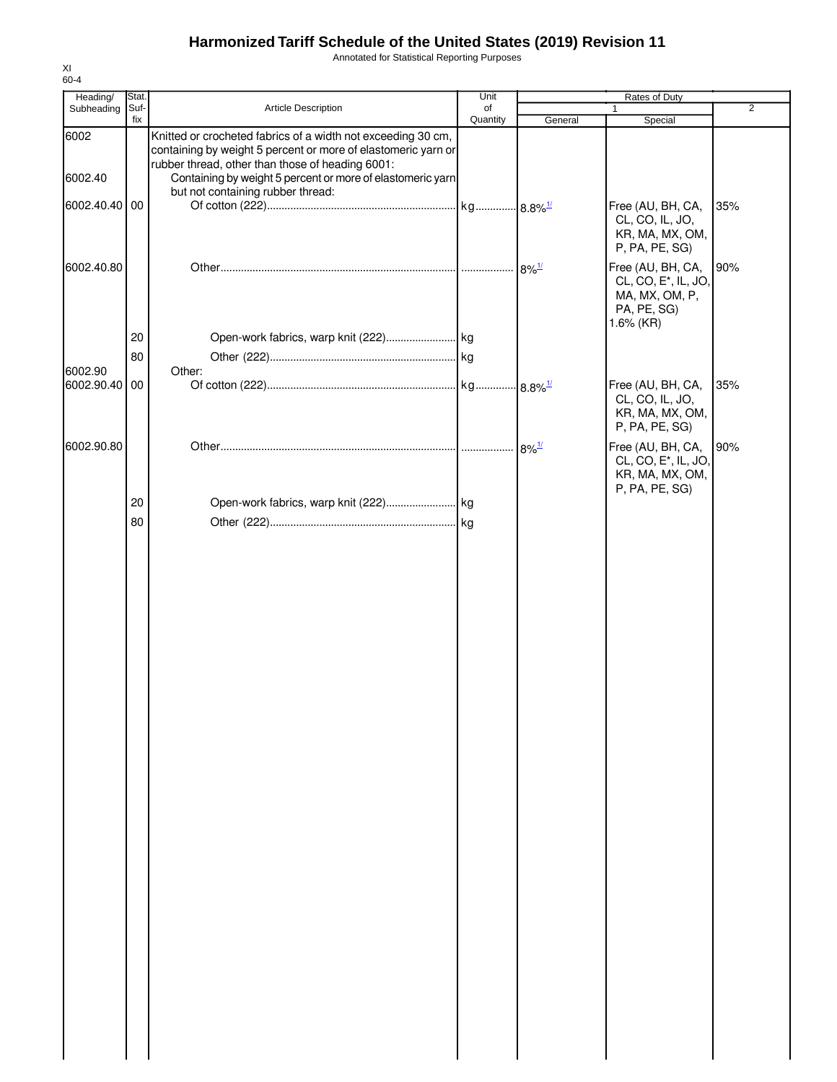Annotated for Statistical Reporting Purposes

| Heading/      | Stat. |                                                                                                                               | Unit     |                       | Rates of Duty                                                                                       |                |
|---------------|-------|-------------------------------------------------------------------------------------------------------------------------------|----------|-----------------------|-----------------------------------------------------------------------------------------------------|----------------|
| Subheading    | Suf-  | Article Description                                                                                                           | of       |                       | 1                                                                                                   | $\overline{2}$ |
| 6002          | fix   | Knitted or crocheted fabrics of a width not exceeding 30 cm,<br>containing by weight 5 percent or more of elastomeric yarn or | Quantity | General               | Special                                                                                             |                |
| 6002.40       |       | rubber thread, other than those of heading 6001:<br>Containing by weight 5 percent or more of elastomeric yarn                |          |                       |                                                                                                     |                |
| 6002.40.40 00 |       | but not containing rubber thread:                                                                                             |          |                       | Free (AU, BH, CA,<br>CL, CO, IL, JO,<br>KR, MA, MX, OM,<br>P, PA, PE, SG)                           | 35%            |
| 6002.40.80    |       |                                                                                                                               |          | $. 8\%$ <sup>1/</sup> | Free (AU, BH, CA,<br>CL, CO, E <sup>*</sup> , IL, JO,<br>MA, MX, OM, P,<br>PA, PE, SG)<br>1.6% (KR) | 90%            |
|               | 20    |                                                                                                                               |          |                       |                                                                                                     |                |
|               | 80    |                                                                                                                               |          |                       |                                                                                                     |                |
| 6002.90       |       | Other:                                                                                                                        |          |                       |                                                                                                     |                |
| 6002.90.40 00 |       |                                                                                                                               |          |                       | Free (AU, BH, CA,<br>CL, CO, IL, JO,<br>KR, MA, MX, OM,<br>P, PA, PE, SG)                           | 35%            |
| 6002.90.80    |       |                                                                                                                               |          | $8\%$ <sup>1/</sup>   | Free (AU, BH, CA,<br>CL, CO, E <sup>*</sup> , IL, JO,<br>KR, MA, MX, OM,                            | 90%            |
|               | 20    |                                                                                                                               |          |                       | P, PA, PE, SG)                                                                                      |                |
|               |       |                                                                                                                               |          |                       |                                                                                                     |                |
|               | 80    |                                                                                                                               |          |                       |                                                                                                     |                |
|               |       |                                                                                                                               |          |                       |                                                                                                     |                |
|               |       |                                                                                                                               |          |                       |                                                                                                     |                |
|               |       |                                                                                                                               |          |                       |                                                                                                     |                |
|               |       |                                                                                                                               |          |                       |                                                                                                     |                |
|               |       |                                                                                                                               |          |                       |                                                                                                     |                |
|               |       |                                                                                                                               |          |                       |                                                                                                     |                |
|               |       |                                                                                                                               |          |                       |                                                                                                     |                |
|               |       |                                                                                                                               |          |                       |                                                                                                     |                |
|               |       |                                                                                                                               |          |                       |                                                                                                     |                |
|               |       |                                                                                                                               |          |                       |                                                                                                     |                |
|               |       |                                                                                                                               |          |                       |                                                                                                     |                |
|               |       |                                                                                                                               |          |                       |                                                                                                     |                |
|               |       |                                                                                                                               |          |                       |                                                                                                     |                |
|               |       |                                                                                                                               |          |                       |                                                                                                     |                |
|               |       |                                                                                                                               |          |                       |                                                                                                     |                |
|               |       |                                                                                                                               |          |                       |                                                                                                     |                |
|               |       |                                                                                                                               |          |                       |                                                                                                     |                |
|               |       |                                                                                                                               |          |                       |                                                                                                     |                |
|               |       |                                                                                                                               |          |                       |                                                                                                     |                |
|               |       |                                                                                                                               |          |                       |                                                                                                     |                |
|               |       |                                                                                                                               |          |                       |                                                                                                     |                |
|               |       |                                                                                                                               |          |                       |                                                                                                     |                |
|               |       |                                                                                                                               |          |                       |                                                                                                     |                |
|               |       |                                                                                                                               |          |                       |                                                                                                     |                |
|               |       |                                                                                                                               |          |                       |                                                                                                     |                |
|               |       |                                                                                                                               |          |                       |                                                                                                     |                |
|               |       |                                                                                                                               |          |                       |                                                                                                     |                |
|               |       |                                                                                                                               |          |                       |                                                                                                     |                |
|               |       |                                                                                                                               |          |                       |                                                                                                     |                |
|               |       |                                                                                                                               |          |                       |                                                                                                     |                |
|               |       |                                                                                                                               |          |                       |                                                                                                     |                |
|               |       |                                                                                                                               |          |                       |                                                                                                     |                |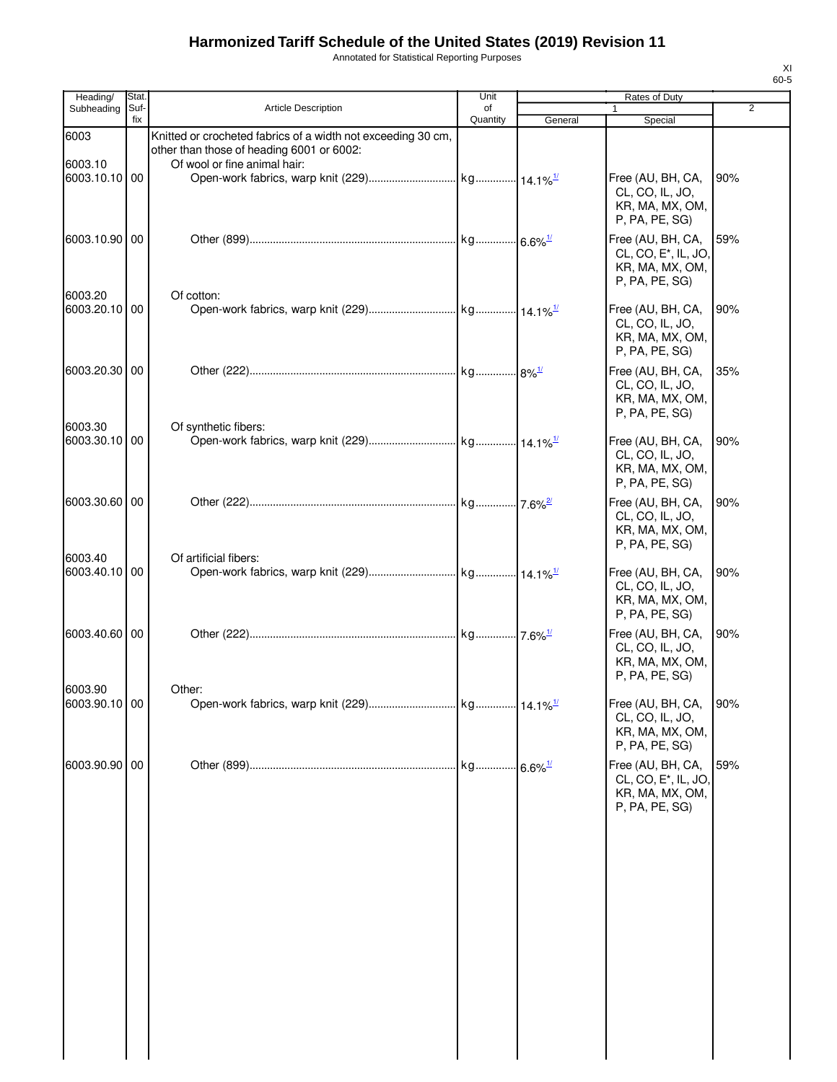Annotated for Statistical Reporting Purposes

| Heading/                 | Stat. |                                                                                                                                           | Unit     |         | Rates of Duty                                                                              |                |
|--------------------------|-------|-------------------------------------------------------------------------------------------------------------------------------------------|----------|---------|--------------------------------------------------------------------------------------------|----------------|
| Subheading               | Suf-  | <b>Article Description</b>                                                                                                                | of       |         |                                                                                            | $\overline{2}$ |
| 6003<br>6003.10          | fix   | Knitted or crocheted fabrics of a width not exceeding 30 cm,<br>other than those of heading 6001 or 6002:<br>Of wool or fine animal hair: | Quantity | General | Special                                                                                    |                |
| 6003.10.10 00            |       |                                                                                                                                           |          |         | Free (AU, BH, CA,<br>CL, CO, IL, JO,<br>KR, MA, MX, OM,<br>P, PA, PE, SG)                  | 90%            |
| 6003.10.90 00            |       |                                                                                                                                           |          |         | Free (AU, BH, CA,<br>CL, CO, E*, IL, JO,<br>KR, MA, MX, OM,<br>P, PA, PE, SG)              | 59%            |
| 6003.20<br>6003.20.10 00 |       | Of cotton:                                                                                                                                |          |         | Free (AU, BH, CA,<br>CL, CO, IL, JO,<br>KR, MA, MX, OM,<br>P, PA, PE, SG)                  | 90%            |
| 6003.20.30 00            |       |                                                                                                                                           |          |         | Free (AU, BH, CA,<br>CL, CO, IL, JO,<br>KR, MA, MX, OM,<br>P, PA, PE, SG)                  | 35%            |
| 6003.30<br>6003.30.10 00 |       | Of synthetic fibers:                                                                                                                      |          |         | Free (AU, BH, CA,<br>CL, CO, IL, JO,<br>KR, MA, MX, OM,<br>P, PA, PE, SG)                  | 90%            |
| 6003.30.60 00            |       |                                                                                                                                           |          |         | Free (AU, BH, CA,<br>CL, CO, IL, JO,<br>KR, MA, MX, OM,<br>P, PA, PE, SG)                  | 90%            |
| 6003.40<br>6003.40.10 00 |       | Of artificial fibers:                                                                                                                     |          |         | Free (AU, BH, CA,<br>CL, CO, IL, JO,<br>KR, MA, MX, OM,<br>P, PA, PE, SG)                  | 90%            |
| 6003.40.60 00            |       |                                                                                                                                           |          |         | Free (AU, BH, CA,<br>CL, CO, IL, JO,<br>KR, MA, MX, OM,<br>P, PA, PE, SG)                  | 90%            |
| 6003.90<br>6003.90.10 00 |       | Other:                                                                                                                                    |          |         | Free (AU, BH, CA,<br>CL, CO, IL, JO,<br>KR, MA, MX, OM,<br>P, PA, PE, SG)                  | 90%            |
| 6003.90.90 00            |       |                                                                                                                                           |          |         | Free (AU, BH, CA,<br>CL, CO, E <sup>*</sup> , IL, JO,<br>KR, MA, MX, OM,<br>P, PA, PE, SG) | 59%            |
|                          |       |                                                                                                                                           |          |         |                                                                                            |                |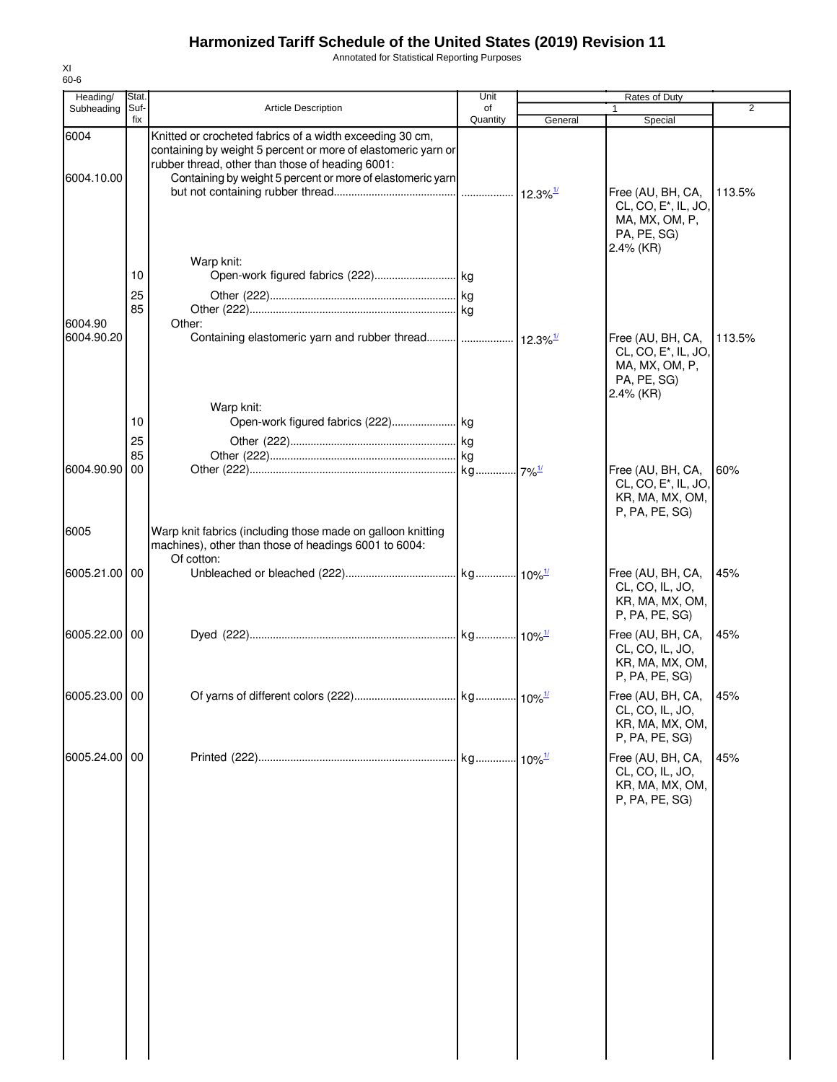Annotated for Statistical Reporting Purposes

| Heading/              | Stat.                |                                                                                                                                                                                                                                             | Unit           |         | Rates of Duty                                                                                                                         |        |
|-----------------------|----------------------|---------------------------------------------------------------------------------------------------------------------------------------------------------------------------------------------------------------------------------------------|----------------|---------|---------------------------------------------------------------------------------------------------------------------------------------|--------|
| Subheading            | Suf-<br>fix          | <b>Article Description</b>                                                                                                                                                                                                                  | of<br>Quantity | General | 1<br>Special                                                                                                                          | 2      |
| 6004<br>6004.10.00    |                      | Knitted or crocheted fabrics of a width exceeding 30 cm,<br>containing by weight 5 percent or more of elastomeric yarn or<br>rubber thread, other than those of heading 6001:<br>Containing by weight 5 percent or more of elastomeric yarn |                |         | Free (AU, BH, CA,<br>CL, CO, E <sup>*</sup> , IL, JO,<br>MA, MX, OM, P,                                                               | 113.5% |
| 6004.90<br>6004.90.20 | 10<br>25<br>85       | Warp knit:<br>Other:                                                                                                                                                                                                                        |                |         | PA, PE, SG)<br>$2.4\%$ (KR)<br>Free (AU, BH, CA,<br>CL, CO, E <sup>*</sup> , IL, JO,<br>MA, MX, OM, P,<br>PA, PE, SG)<br>$2.4\%$ (KR) | 113.5% |
| 6004.90.90            | 10<br>25<br>85<br>00 | Warp knit:                                                                                                                                                                                                                                  |                |         | Free (AU, BH, CA,<br>CL, CO, E <sup>*</sup> , IL, JO,<br>KR, MA, MX, OM,<br>P, PA, PE, SG)                                            | 60%    |
| 6005<br>6005.21.00 00 |                      | Warp knit fabrics (including those made on galloon knitting<br>machines), other than those of headings 6001 to 6004:<br>Of cotton:                                                                                                          |                |         | Free (AU, BH, CA,                                                                                                                     | 45%    |
|                       |                      |                                                                                                                                                                                                                                             |                |         | CL, CO, IL, JO,<br>KR, MA, MX, OM,<br>P, PA, PE, SG)                                                                                  |        |
| 6005.22.00 00         |                      |                                                                                                                                                                                                                                             |                |         | Free (AU, BH, CA,<br>CL, CO, IL, JO,<br>KR, MA, MX, OM,<br>P, PA, PE, SG)                                                             | 45%    |
| 6005.23.00 00         |                      |                                                                                                                                                                                                                                             |                |         | Free (AU, BH, CA, 45%<br>CL, CO, IL, JO,<br>KR, MA, MX, OM,<br>P, PA, PE, SG)                                                         |        |
| 6005.24.00 00         |                      |                                                                                                                                                                                                                                             |                |         | Free (AU, BH, CA,<br>CL, CO, IL, JO,<br>KR, MA, MX, OM,<br>P, PA, PE, SG)                                                             | 45%    |
|                       |                      |                                                                                                                                                                                                                                             |                |         |                                                                                                                                       |        |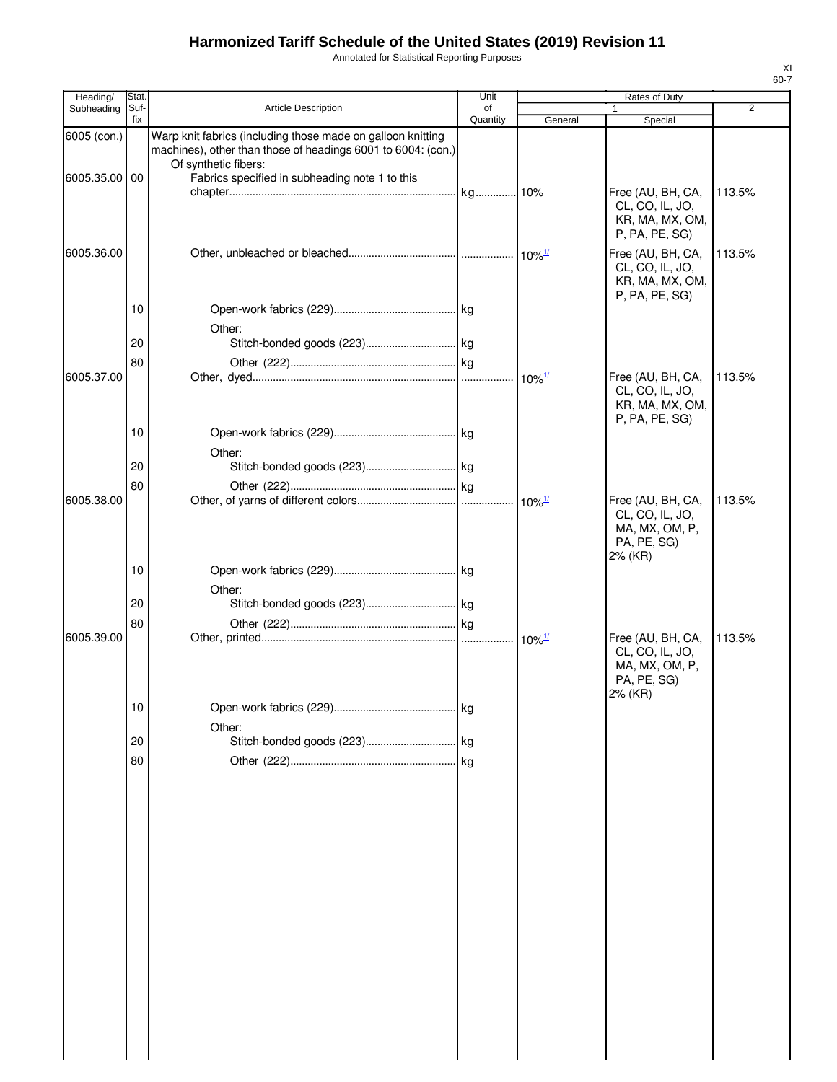Annotated for Statistical Reporting Purposes

| Heading/      | Stat        |                                                                                                                                                     | Unit           |                      | Rates of Duty                                                             |                |
|---------------|-------------|-----------------------------------------------------------------------------------------------------------------------------------------------------|----------------|----------------------|---------------------------------------------------------------------------|----------------|
| Subheading    | Suf-<br>fix | <b>Article Description</b>                                                                                                                          | of<br>Quantity | General              | 1<br>Special                                                              | $\overline{2}$ |
| 6005 (con.)   |             | Warp knit fabrics (including those made on galloon knitting<br>machines), other than those of headings 6001 to 6004: (con.)<br>Of synthetic fibers: |                |                      |                                                                           |                |
| 6005.35.00 00 |             | Fabrics specified in subheading note 1 to this                                                                                                      |                |                      | Free (AU, BH, CA,<br>CL, CO, IL, JO,<br>KR, MA, MX, OM,                   | 113.5%         |
| 6005.36.00    |             |                                                                                                                                                     |                |                      | P, PA, PE, SG)<br>Free (AU, BH, CA,<br>CL, CO, IL, JO,<br>KR, MA, MX, OM, | 113.5%         |
|               | 10          | Other:                                                                                                                                              |                |                      | P, PA, PE, SG)                                                            |                |
|               | 20          |                                                                                                                                                     |                |                      |                                                                           |                |
|               | 80          |                                                                                                                                                     |                |                      |                                                                           |                |
| 6005.37.00    |             |                                                                                                                                                     |                | $10\%$ <sup>1/</sup> | Free (AU, BH, CA,<br>CL, CO, IL, JO,<br>KR, MA, MX, OM,<br>P, PA, PE, SG) | 113.5%         |
|               | 10          |                                                                                                                                                     |                |                      |                                                                           |                |
|               | 20          | Other:                                                                                                                                              |                |                      |                                                                           |                |
|               | 80          |                                                                                                                                                     |                |                      |                                                                           |                |
| 6005.38.00    |             |                                                                                                                                                     |                |                      | Free (AU, BH, CA,<br>CL, CO, IL, JO,<br>MA, MX, OM, P,<br>PA, PE, SG)     | 113.5%         |
|               | 10          | Other:                                                                                                                                              |                |                      | 2% (KR)                                                                   |                |
|               | 20          |                                                                                                                                                     |                |                      |                                                                           |                |
| 6005.39.00    | 80          |                                                                                                                                                     |                | $10\%$ <sup>1/</sup> | Free (AU, BH, CA,<br>CL, CO, IL, JO,<br>MA, MX, OM, P,                    | 113.5%         |
|               |             |                                                                                                                                                     |                |                      | PA, PE, SG)<br>2% (KR)                                                    |                |
|               | 10          | Other:                                                                                                                                              |                |                      |                                                                           |                |
|               | 20          |                                                                                                                                                     |                |                      |                                                                           |                |
|               | 80          |                                                                                                                                                     |                |                      |                                                                           |                |
|               |             |                                                                                                                                                     |                |                      |                                                                           |                |
|               |             |                                                                                                                                                     |                |                      |                                                                           |                |
|               |             |                                                                                                                                                     |                |                      |                                                                           |                |
|               |             |                                                                                                                                                     |                |                      |                                                                           |                |
|               |             |                                                                                                                                                     |                |                      |                                                                           |                |
|               |             |                                                                                                                                                     |                |                      |                                                                           |                |
|               |             |                                                                                                                                                     |                |                      |                                                                           |                |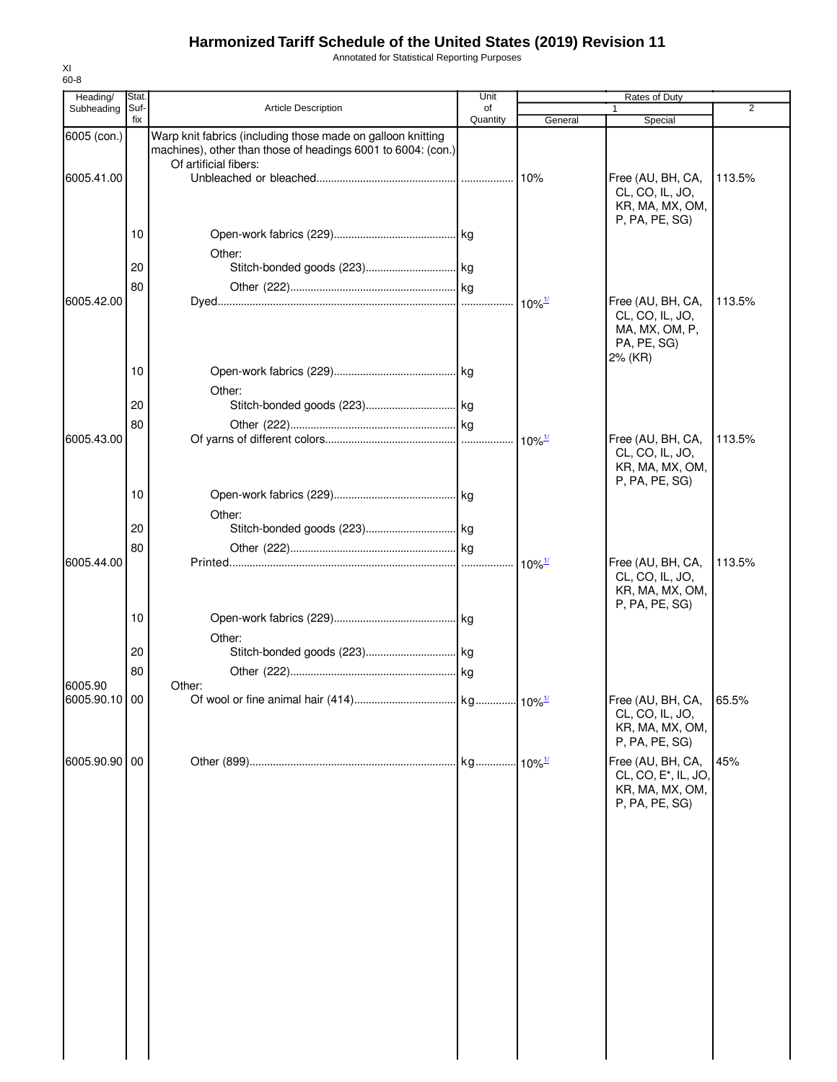Annotated for Statistical Reporting Purposes

| Heading/      | Stat.       |                                                                                                                                                      | Unit           |                       | Rates of Duty                                                                              |                |
|---------------|-------------|------------------------------------------------------------------------------------------------------------------------------------------------------|----------------|-----------------------|--------------------------------------------------------------------------------------------|----------------|
| Subheading    | Suf-<br>fix | Article Description                                                                                                                                  | of<br>Quantity | General               | Special                                                                                    | $\overline{c}$ |
| 6005 (con.)   |             | Warp knit fabrics (including those made on galloon knitting<br>machines), other than those of headings 6001 to 6004: (con.)<br>Of artificial fibers: |                |                       |                                                                                            |                |
| 6005.41.00    |             |                                                                                                                                                      |                | 10%                   | Free (AU, BH, CA,<br>CL, CO, IL, JO,<br>KR, MA, MX, OM,<br>P, PA, PE, SG)                  | 113.5%         |
|               | 10          | Other:                                                                                                                                               |                |                       |                                                                                            |                |
|               | 20          |                                                                                                                                                      |                |                       |                                                                                            |                |
|               | 80          |                                                                                                                                                      |                |                       |                                                                                            |                |
| 6005.42.00    |             |                                                                                                                                                      |                | $10\%$ <sup>1/</sup>  | Free (AU, BH, CA,<br>CL, CO, IL, JO,<br>MA, MX, OM, P,<br>PA, PE, SG)<br>2% (KR)           | 113.5%         |
|               | 10          |                                                                                                                                                      |                |                       |                                                                                            |                |
|               |             | Other:                                                                                                                                               |                |                       |                                                                                            |                |
|               | 20          |                                                                                                                                                      |                |                       |                                                                                            |                |
| 6005.43.00    | 80          |                                                                                                                                                      |                | $10\%$ <sup>1/</sup>  | Free (AU, BH, CA,<br>CL, CO, IL, JO,<br>KR, MA, MX, OM,                                    | 113.5%         |
|               | 10          | Other:                                                                                                                                               |                |                       | P, PA, PE, SG)                                                                             |                |
|               | 20          |                                                                                                                                                      |                |                       |                                                                                            |                |
|               | 80          |                                                                                                                                                      |                |                       |                                                                                            |                |
| 6005.44.00    |             |                                                                                                                                                      | .              | $10\%$ <sup>1/</sup>  | Free (AU, BH, CA,<br>CL, CO, IL, JO,<br>KR, MA, MX, OM,<br>P, PA, PE, SG)                  | 113.5%         |
|               | 10          |                                                                                                                                                      |                |                       |                                                                                            |                |
|               |             | Other:                                                                                                                                               |                |                       |                                                                                            |                |
|               | 20          |                                                                                                                                                      |                |                       |                                                                                            |                |
|               | 80          |                                                                                                                                                      |                |                       |                                                                                            |                |
| 6005.90       |             | Other:                                                                                                                                               |                |                       |                                                                                            |                |
| 6005.90.10 00 |             |                                                                                                                                                      |                |                       | Free (AU, BH, CA,<br>CL, CO, IL, JO,<br>KR, MA, MX, OM,<br>P, PA, PE, SG)                  | 65.5%          |
| 6005.90.90 00 |             |                                                                                                                                                      |                | $.10\%$ <sup>1/</sup> | Free (AU, BH, CA,<br>CL, CO, E <sup>*</sup> , IL, JO,<br>KR, MA, MX, OM,<br>P, PA, PE, SG) | 45%            |
|               |             |                                                                                                                                                      |                |                       |                                                                                            |                |
|               |             |                                                                                                                                                      |                |                       |                                                                                            |                |
|               |             |                                                                                                                                                      |                |                       |                                                                                            |                |
|               |             |                                                                                                                                                      |                |                       |                                                                                            |                |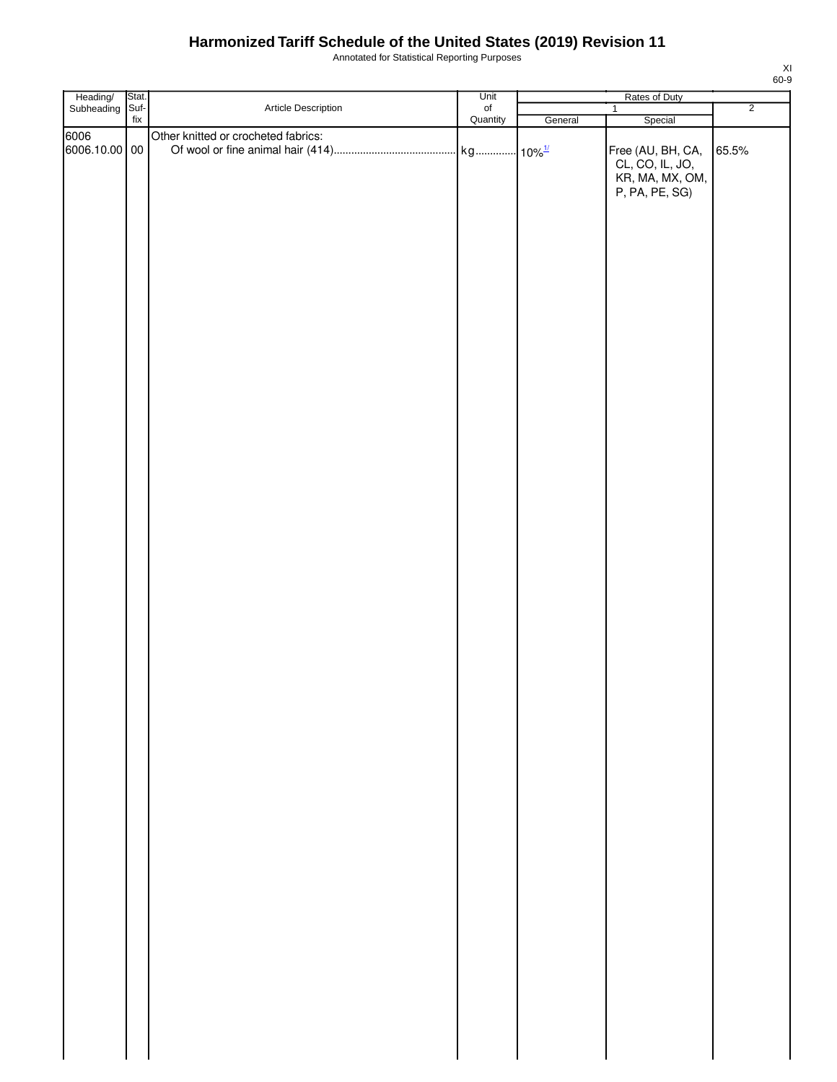Annotated for Statistical Reporting Purposes

| Article Description<br>Suf-<br>$_{\mathsf{of}}$<br>$\overline{2}$<br>$\mathbf{1}$<br>Quantity<br>$\operatorname{\sf fix}$<br>General<br>Special<br>Other knitted or crocheted fabrics:<br>6006.10.00 00<br>Free (AU, BH, CA,<br>65.5%<br>CL, CO, IL, JO,<br>KR, MA, MX, OM,<br>P, PA, PE, SG) | Heading/<br>Subheading | Stat. | Unit | Rates of Duty |  |
|-----------------------------------------------------------------------------------------------------------------------------------------------------------------------------------------------------------------------------------------------------------------------------------------------|------------------------|-------|------|---------------|--|
|                                                                                                                                                                                                                                                                                               |                        |       |      |               |  |
|                                                                                                                                                                                                                                                                                               |                        |       |      |               |  |
|                                                                                                                                                                                                                                                                                               | 6006                   |       |      |               |  |
|                                                                                                                                                                                                                                                                                               |                        |       |      |               |  |
|                                                                                                                                                                                                                                                                                               |                        |       |      |               |  |
|                                                                                                                                                                                                                                                                                               |                        |       |      |               |  |
|                                                                                                                                                                                                                                                                                               |                        |       |      |               |  |
|                                                                                                                                                                                                                                                                                               |                        |       |      |               |  |
|                                                                                                                                                                                                                                                                                               |                        |       |      |               |  |
|                                                                                                                                                                                                                                                                                               |                        |       |      |               |  |
|                                                                                                                                                                                                                                                                                               |                        |       |      |               |  |
|                                                                                                                                                                                                                                                                                               |                        |       |      |               |  |
|                                                                                                                                                                                                                                                                                               |                        |       |      |               |  |
|                                                                                                                                                                                                                                                                                               |                        |       |      |               |  |
|                                                                                                                                                                                                                                                                                               |                        |       |      |               |  |
|                                                                                                                                                                                                                                                                                               |                        |       |      |               |  |
|                                                                                                                                                                                                                                                                                               |                        |       |      |               |  |
|                                                                                                                                                                                                                                                                                               |                        |       |      |               |  |
|                                                                                                                                                                                                                                                                                               |                        |       |      |               |  |
|                                                                                                                                                                                                                                                                                               |                        |       |      |               |  |
|                                                                                                                                                                                                                                                                                               |                        |       |      |               |  |
|                                                                                                                                                                                                                                                                                               |                        |       |      |               |  |
|                                                                                                                                                                                                                                                                                               |                        |       |      |               |  |
|                                                                                                                                                                                                                                                                                               |                        |       |      |               |  |
|                                                                                                                                                                                                                                                                                               |                        |       |      |               |  |
|                                                                                                                                                                                                                                                                                               |                        |       |      |               |  |
|                                                                                                                                                                                                                                                                                               |                        |       |      |               |  |
|                                                                                                                                                                                                                                                                                               |                        |       |      |               |  |
|                                                                                                                                                                                                                                                                                               |                        |       |      |               |  |
|                                                                                                                                                                                                                                                                                               |                        |       |      |               |  |
|                                                                                                                                                                                                                                                                                               |                        |       |      |               |  |
|                                                                                                                                                                                                                                                                                               |                        |       |      |               |  |
|                                                                                                                                                                                                                                                                                               |                        |       |      |               |  |
|                                                                                                                                                                                                                                                                                               |                        |       |      |               |  |
|                                                                                                                                                                                                                                                                                               |                        |       |      |               |  |
|                                                                                                                                                                                                                                                                                               |                        |       |      |               |  |
|                                                                                                                                                                                                                                                                                               |                        |       |      |               |  |
|                                                                                                                                                                                                                                                                                               |                        |       |      |               |  |
|                                                                                                                                                                                                                                                                                               |                        |       |      |               |  |
|                                                                                                                                                                                                                                                                                               |                        |       |      |               |  |
|                                                                                                                                                                                                                                                                                               |                        |       |      |               |  |
|                                                                                                                                                                                                                                                                                               |                        |       |      |               |  |
|                                                                                                                                                                                                                                                                                               |                        |       |      |               |  |
|                                                                                                                                                                                                                                                                                               |                        |       |      |               |  |
|                                                                                                                                                                                                                                                                                               |                        |       |      |               |  |
|                                                                                                                                                                                                                                                                                               |                        |       |      |               |  |
|                                                                                                                                                                                                                                                                                               |                        |       |      |               |  |
|                                                                                                                                                                                                                                                                                               |                        |       |      |               |  |
|                                                                                                                                                                                                                                                                                               |                        |       |      |               |  |
|                                                                                                                                                                                                                                                                                               |                        |       |      |               |  |
|                                                                                                                                                                                                                                                                                               |                        |       |      |               |  |
|                                                                                                                                                                                                                                                                                               |                        |       |      |               |  |
|                                                                                                                                                                                                                                                                                               |                        |       |      |               |  |
|                                                                                                                                                                                                                                                                                               |                        |       |      |               |  |
|                                                                                                                                                                                                                                                                                               |                        |       |      |               |  |
|                                                                                                                                                                                                                                                                                               |                        |       |      |               |  |
|                                                                                                                                                                                                                                                                                               |                        |       |      |               |  |
|                                                                                                                                                                                                                                                                                               |                        |       |      |               |  |
|                                                                                                                                                                                                                                                                                               |                        |       |      |               |  |
|                                                                                                                                                                                                                                                                                               |                        |       |      |               |  |
|                                                                                                                                                                                                                                                                                               |                        |       |      |               |  |
|                                                                                                                                                                                                                                                                                               |                        |       |      |               |  |
|                                                                                                                                                                                                                                                                                               |                        |       |      |               |  |
|                                                                                                                                                                                                                                                                                               |                        |       |      |               |  |
|                                                                                                                                                                                                                                                                                               |                        |       |      |               |  |
|                                                                                                                                                                                                                                                                                               |                        |       |      |               |  |
|                                                                                                                                                                                                                                                                                               |                        |       |      |               |  |
|                                                                                                                                                                                                                                                                                               |                        |       |      |               |  |
|                                                                                                                                                                                                                                                                                               |                        |       |      |               |  |
|                                                                                                                                                                                                                                                                                               |                        |       |      |               |  |
|                                                                                                                                                                                                                                                                                               |                        |       |      |               |  |
|                                                                                                                                                                                                                                                                                               |                        |       |      |               |  |
|                                                                                                                                                                                                                                                                                               |                        |       |      |               |  |
|                                                                                                                                                                                                                                                                                               |                        |       |      |               |  |
|                                                                                                                                                                                                                                                                                               |                        |       |      |               |  |
|                                                                                                                                                                                                                                                                                               |                        |       |      |               |  |
|                                                                                                                                                                                                                                                                                               |                        |       |      |               |  |
|                                                                                                                                                                                                                                                                                               |                        |       |      |               |  |
|                                                                                                                                                                                                                                                                                               |                        |       |      |               |  |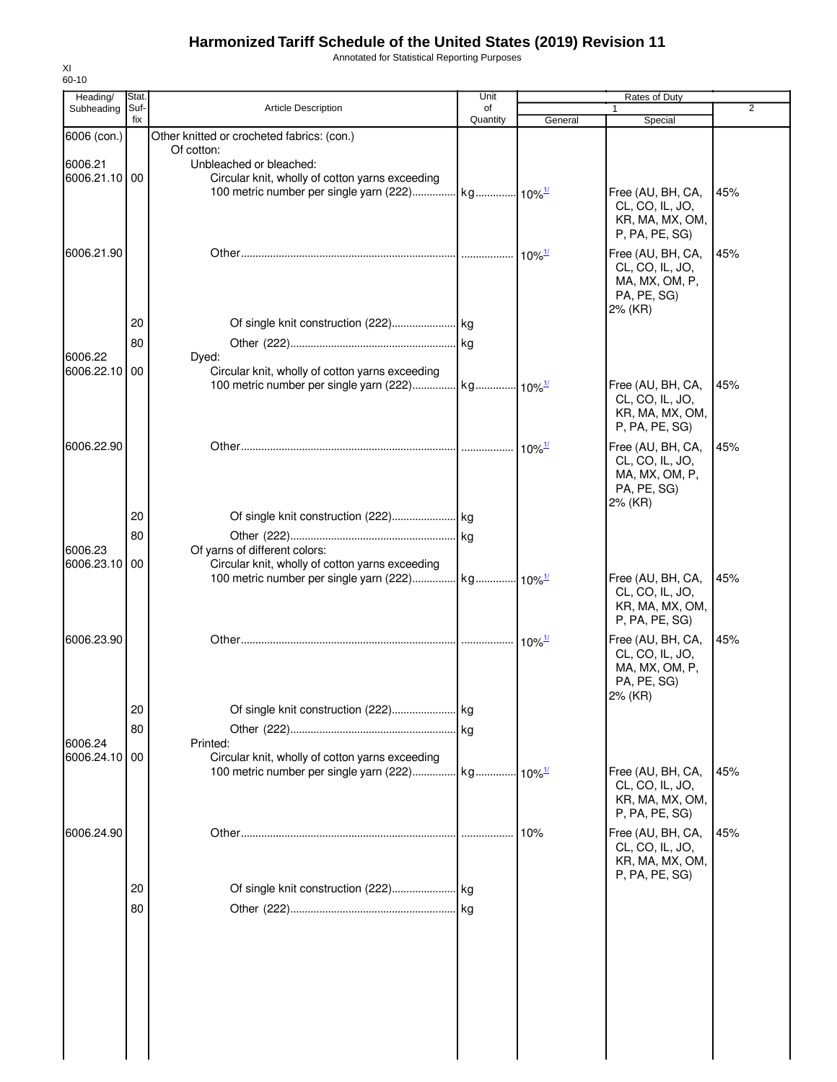Annotated for Statistical Reporting Purposes

| Heading/      | Stat.       |                                                 | Unit           |                           | Rates of Duty                        |                |
|---------------|-------------|-------------------------------------------------|----------------|---------------------------|--------------------------------------|----------------|
| Subheading    | Suf-<br>fix | <b>Article Description</b>                      | οf<br>Quantity | General                   | 1<br>Special                         | $\overline{2}$ |
| 6006 (con.)   |             | Other knitted or crocheted fabrics: (con.)      |                |                           |                                      |                |
|               |             | Of cotton:                                      |                |                           |                                      |                |
| 6006.21       |             | Unbleached or bleached:                         |                |                           |                                      |                |
| 6006.21.10 00 |             | Circular knit, wholly of cotton yarns exceeding |                |                           |                                      |                |
|               |             |                                                 |                |                           | Free (AU, BH, CA,                    | 45%            |
|               |             |                                                 |                |                           | CL, CO, IL, JO,                      |                |
|               |             |                                                 |                |                           | KR, MA, MX, OM,                      |                |
|               |             |                                                 |                |                           | P, PA, PE, SG)                       |                |
| 6006.21.90    |             |                                                 |                | $10\%$ <sup>1/</sup>      | Free (AU, BH, CA,                    | 45%            |
|               |             |                                                 |                |                           | CL, CO, IL, JO,                      |                |
|               |             |                                                 |                |                           | MA, MX, OM, P,                       |                |
|               |             |                                                 |                |                           | PA, PE, SG)                          |                |
|               | 20          |                                                 |                |                           | 2% (KR)                              |                |
|               |             |                                                 |                |                           |                                      |                |
|               | 80          |                                                 |                |                           |                                      |                |
| 6006.22       |             | Dyed:                                           |                |                           |                                      |                |
| 6006.22.10    | 00          | Circular knit, wholly of cotton yarns exceeding |                |                           |                                      |                |
|               |             |                                                 |                |                           | Free (AU, BH, CA,                    | 45%            |
|               |             |                                                 |                |                           | CL, CO, IL, JO,<br>KR, MA, MX, OM,   |                |
|               |             |                                                 |                |                           | P, PA, PE, SG)                       |                |
|               |             |                                                 |                |                           |                                      |                |
| 6006.22.90    |             |                                                 |                | $10\%$ <sup>1/</sup>      | Free (AU, BH, CA,<br>CL, CO, IL, JO, | 45%            |
|               |             |                                                 |                |                           | MA, MX, OM, P,                       |                |
|               |             |                                                 |                |                           | PA, PE, SG)                          |                |
|               |             |                                                 |                |                           | 2% (KR)                              |                |
|               | 20          |                                                 |                |                           |                                      |                |
|               | 80          |                                                 |                |                           |                                      |                |
| 6006.23       |             | Of yarns of different colors:                   |                |                           |                                      |                |
| 6006.23.10    | 00          | Circular knit, wholly of cotton yarns exceeding |                |                           |                                      |                |
|               |             |                                                 |                |                           | Free (AU, BH, CA,                    | 45%            |
|               |             |                                                 |                |                           | CL, CO, IL, JO,                      |                |
|               |             |                                                 |                |                           | KR, MA, MX, OM,                      |                |
|               |             |                                                 |                |                           | P, PA, PE, SG)                       |                |
| 6006.23.90    |             |                                                 |                | $\cdot$ 10% $\frac{1}{2}$ | Free (AU, BH, CA,                    | 45%            |
|               |             |                                                 |                |                           | CL, CO, IL, JO,                      |                |
|               |             |                                                 |                |                           | MA, MX, OM, P,                       |                |
|               |             |                                                 |                |                           | PA, PE, SG)                          |                |
|               |             |                                                 |                |                           | 2% (KR)                              |                |
|               | 20          |                                                 |                |                           |                                      |                |
|               | 80          |                                                 |                |                           |                                      |                |
| 6006.24       |             | Printed:                                        |                |                           |                                      |                |
| 6006.24.10    | 00          | Circular knit, wholly of cotton yarns exceeding |                |                           |                                      |                |
|               |             |                                                 |                |                           | Free (AU, BH, CA,                    | 45%            |
|               |             |                                                 |                |                           | CL, CO, IL, JO,                      |                |
|               |             |                                                 |                |                           | KR, MA, MX, OM,<br>P, PA, PE, SG)    |                |
|               |             |                                                 |                |                           |                                      |                |
| 6006.24.90    |             |                                                 |                | 10%                       | Free (AU, BH, CA,                    | 45%            |
|               |             |                                                 |                |                           | CL, CO, IL, JO,<br>KR, MA, MX, OM,   |                |
|               |             |                                                 |                |                           | P, PA, PE, SG)                       |                |
|               | 20          |                                                 |                |                           |                                      |                |
|               |             |                                                 |                |                           |                                      |                |
|               | 80          |                                                 |                |                           |                                      |                |
|               |             |                                                 |                |                           |                                      |                |
|               |             |                                                 |                |                           |                                      |                |
|               |             |                                                 |                |                           |                                      |                |
|               |             |                                                 |                |                           |                                      |                |
|               |             |                                                 |                |                           |                                      |                |
|               |             |                                                 |                |                           |                                      |                |
|               |             |                                                 |                |                           |                                      |                |
|               |             |                                                 |                |                           |                                      |                |
|               |             |                                                 |                |                           |                                      |                |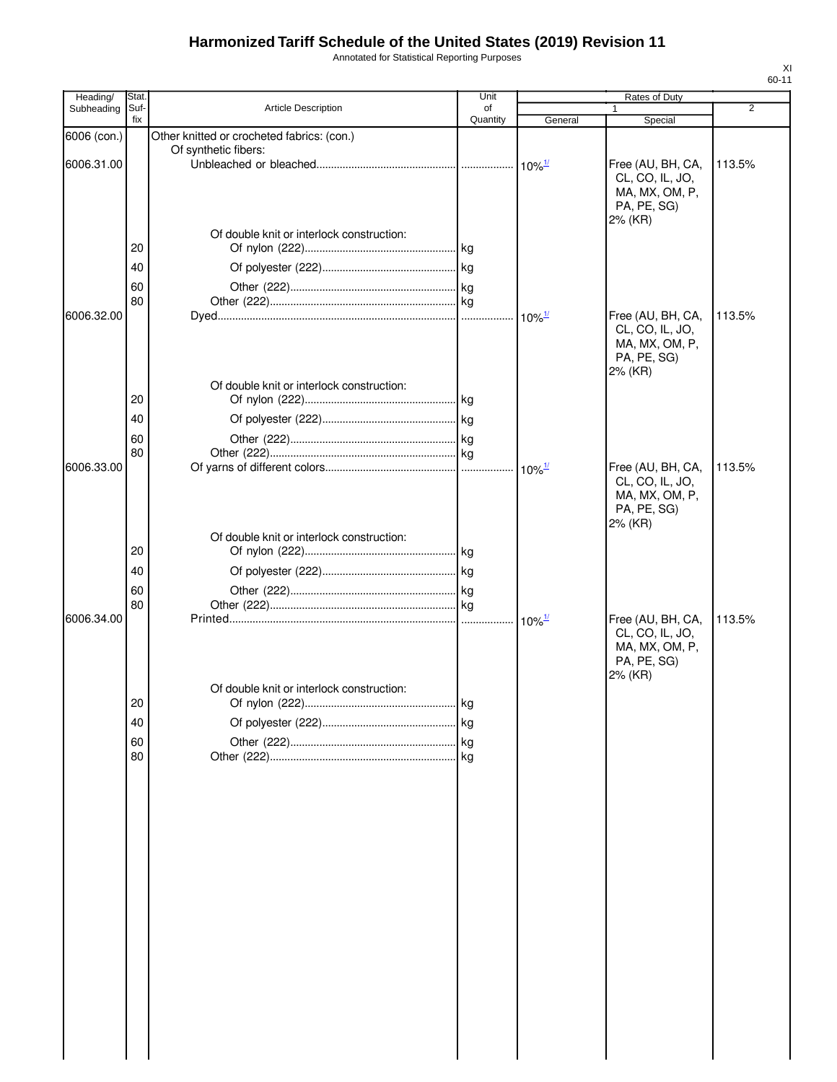Annotated for Statistical Reporting Purposes

| Heading/    | Stat        |                                            | Unit           |                      | Rates of Duty                                                                    |        |
|-------------|-------------|--------------------------------------------|----------------|----------------------|----------------------------------------------------------------------------------|--------|
| Subheading  | Suf-<br>fix | <b>Article Description</b>                 | of<br>Quantity | General              | 1<br>Special                                                                     | 2      |
| 6006 (con.) |             | Other knitted or crocheted fabrics: (con.) |                |                      |                                                                                  |        |
| 6006.31.00  |             | Of synthetic fibers:                       |                | $10\%$ <sup>1/</sup> | Free (AU, BH, CA,<br>CL, CO, IL, JO,<br>MA, MX, OM, P,<br>PA, PE, SG)            | 113.5% |
|             | 20          | Of double knit or interlock construction:  |                |                      | 2% (KR)                                                                          |        |
|             | 40          |                                            |                |                      |                                                                                  |        |
|             | 60          |                                            |                |                      |                                                                                  |        |
|             | 80          |                                            |                |                      |                                                                                  |        |
| 6006.32.00  |             |                                            |                | $10\%$ <sup>1/</sup> | Free (AU, BH, CA,<br>CL, CO, IL, JO,<br>MA, MX, OM, P,<br>PA, PE, SG)<br>2% (KR) | 113.5% |
|             |             | Of double knit or interlock construction:  |                |                      |                                                                                  |        |
|             | 20          |                                            |                |                      |                                                                                  |        |
|             | 40          |                                            |                |                      |                                                                                  |        |
|             | 60<br>80    |                                            |                |                      |                                                                                  |        |
| 6006.33.00  |             |                                            |                |                      | Free (AU, BH, CA,<br>CL, CO, IL, JO,<br>MA, MX, OM, P,<br>PA, PE, SG)<br>2% (KR) | 113.5% |
|             |             | Of double knit or interlock construction:  |                |                      |                                                                                  |        |
|             | 20          |                                            |                |                      |                                                                                  |        |
|             | 40          |                                            |                |                      |                                                                                  |        |
|             | 60<br>80    |                                            |                |                      |                                                                                  |        |
| 6006.34.00  |             |                                            |                | $10\%$ <sup>1/</sup> | Free (AU, BH, CA,<br>CL, CO, IL, JO,<br>MA, MX, OM, P,<br>PA, PE, SG)<br>2% (KR) | 113.5% |
|             | 20          | Of double knit or interlock construction:  |                |                      |                                                                                  |        |
|             | 40          |                                            |                |                      |                                                                                  |        |
|             | 60          |                                            |                |                      |                                                                                  |        |
|             | 80          |                                            |                |                      |                                                                                  |        |
|             |             |                                            |                |                      |                                                                                  |        |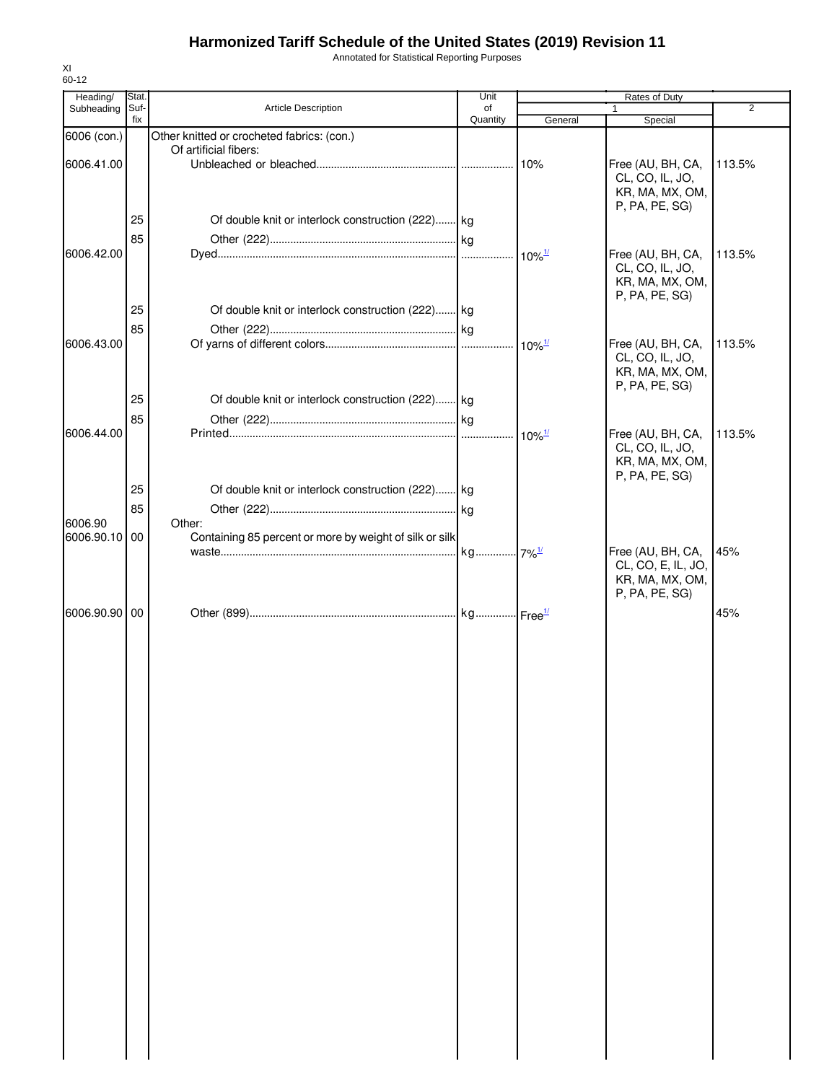Annotated for Statistical Reporting Purposes

| 60-12                  |                     |                                                                     |            |                      |                                                                              |                |
|------------------------|---------------------|---------------------------------------------------------------------|------------|----------------------|------------------------------------------------------------------------------|----------------|
| Heading/<br>Subheading | <b>Stat</b><br>Suf- | <b>Article Description</b>                                          | Unit<br>of |                      | Rates of Duty                                                                | $\overline{2}$ |
|                        | fix                 |                                                                     | Quantity   | General              | Special                                                                      |                |
| 6006 (con.)            |                     | Other knitted or crocheted fabrics: (con.)<br>Of artificial fibers: |            |                      |                                                                              |                |
| 6006.41.00             |                     |                                                                     |            | 10%                  | Free (AU, BH, CA,<br>CL, CO, IL, JO,<br>KR, MA, MX, OM,<br>P, PA, PE, SG)    | 113.5%         |
|                        | 25                  | Of double knit or interlock construction (222) kg                   |            |                      |                                                                              |                |
| 6006.42.00             | 85                  |                                                                     |            |                      | Free (AU, BH, CA,                                                            | 113.5%         |
|                        |                     |                                                                     |            |                      | CL, CO, IL, JO,<br>KR, MA, MX, OM,<br>P, PA, PE, SG)                         |                |
|                        | 25                  | Of double knit or interlock construction (222) kg                   |            |                      |                                                                              |                |
| 6006.43.00             | 85                  |                                                                     |            |                      | Free (AU, BH, CA,                                                            | 113.5%         |
|                        |                     |                                                                     |            |                      | CL, CO, IL, JO,<br>KR, MA, MX, OM,<br>P, PA, PE, SG)                         |                |
|                        | 25                  | Of double knit or interlock construction (222)                      |            |                      |                                                                              |                |
| 6006.44.00             | 85                  |                                                                     |            | $10\%$ <sup>1/</sup> | Free (AU, BH, CA,                                                            | 113.5%         |
|                        | 25                  | Of double knit or interlock construction (222) kg                   |            |                      | CL, CO, IL, JO,<br>KR, MA, MX, OM,<br>P, PA, PE, SG)                         |                |
|                        | 85                  |                                                                     |            |                      |                                                                              |                |
| 6006.90                |                     | Other:                                                              |            |                      |                                                                              |                |
| 6006.90.10 00          |                     | Containing 85 percent or more by weight of silk or silk             |            |                      | Free (AU, BH, CA,<br>CL, CO, E, IL, JO,<br>KR, MA, MX, OM,<br>P, PA, PE, SG) | 45%            |
| 6006.90.90 00          |                     |                                                                     |            |                      |                                                                              | 45%            |
|                        |                     |                                                                     |            |                      |                                                                              |                |

XI